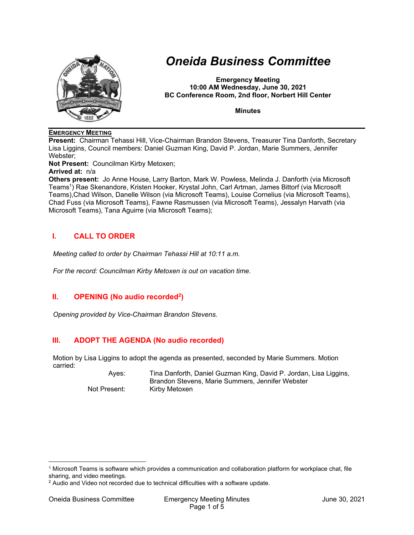

# *Oneida Business Committee*

**Emergency Meeting 10:00 AM Wednesday, June 30, 2021 BC Conference Room, 2nd floor, Norbert Hill Center** 

**Minutes** 

#### **EMERGENCY MEETING**

**Present:** Chairman Tehassi Hill, Vice-Chairman Brandon Stevens, Treasurer Tina Danforth, Secretary Lisa Liggins, Council members: Daniel Guzman King, David P. Jordan, Marie Summers, Jennifer Webster;

**Not Present:** Councilman Kirby Metoxen;

**Arrived at:** n/a

**Others present:** Jo Anne House, Larry Barton, Mark W. Powless, Melinda J. Danforth (via Microsoft Teams1) Rae Skenandore, Kristen Hooker, Krystal John, Carl Artman, James Bittorf (via Microsoft Teams),Chad Wilson, Danelle Wilson (via Microsoft Teams), Louise Cornelius (via Microsoft Teams), Chad Fuss (via Microsoft Teams), Fawne Rasmussen (via Microsoft Teams), Jessalyn Harvath (via Microsoft Teams), Tana Aguirre (via Microsoft Teams);

## **I. CALL TO ORDER**

*Meeting called to order by Chairman Tehassi Hill at 10:11 a.m.* 

*For the record: Councilman Kirby Metoxen is out on vacation time.* 

## **II.** OPENING (No audio recorded<sup>2</sup>)

*Opening provided by Vice-Chairman Brandon Stevens.* 

## **III. ADOPT THE AGENDA (No audio recorded)**

Motion by Lisa Liggins to adopt the agenda as presented, seconded by Marie Summers. Motion carried:

 Ayes: Tina Danforth, Daniel Guzman King, David P. Jordan, Lisa Liggins, Brandon Stevens, Marie Summers, Jennifer Webster Not Present: Kirby Metoxen

<sup>1</sup> Microsoft Teams is software which provides a communication and collaboration platform for workplace chat, file sharing, and video meetings.

<sup>&</sup>lt;sup>2</sup> Audio and Video not recorded due to technical difficulties with a software update.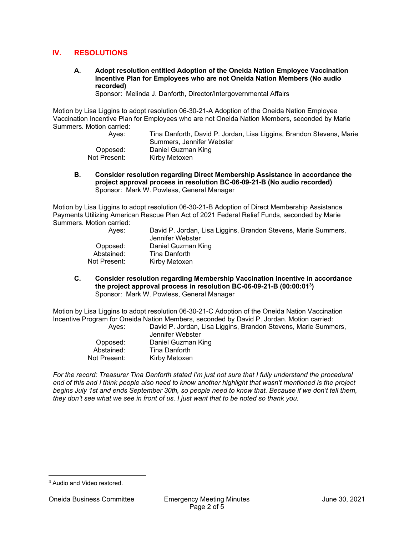#### **IV. RESOLUTIONS**

**A. Adopt resolution entitled Adoption of the Oneida Nation Employee Vaccination Incentive Plan for Employees who are not Oneida Nation Members (No audio recorded)** 

Sponsor: Melinda J. Danforth, Director/Intergovernmental Affairs

Motion by Lisa Liggins to adopt resolution 06-30-21-A Adoption of the Oneida Nation Employee Vaccination Incentive Plan for Employees who are not Oneida Nation Members, seconded by Marie Summers. Motion carried:

| Aves:        | Tina Danforth, David P. Jordan, Lisa Liggins, Brandon Stevens, Marie |
|--------------|----------------------------------------------------------------------|
|              | Summers, Jennifer Webster                                            |
| Opposed:     | Daniel Guzman King                                                   |
| Not Present: | Kirby Metoxen                                                        |

**B. Consider resolution regarding Direct Membership Assistance in accordance the project approval process in resolution BC-06-09-21-B (No audio recorded)**  Sponsor: Mark W. Powless, General Manager

Motion by Lisa Liggins to adopt resolution 06-30-21-B Adoption of Direct Membership Assistance Payments Utilizing American Rescue Plan Act of 2021 Federal Relief Funds, seconded by Marie Summers. Motion carried:

| David P. Jordan, Lisa Liggins, Brandon Stevens, Marie Summers, |
|----------------------------------------------------------------|
| Jennifer Webster                                               |
| Daniel Guzman King                                             |
| Tina Danforth                                                  |
| Kirby Metoxen                                                  |
|                                                                |

**C. Consider resolution regarding Membership Vaccination Incentive in accordance the project approval process in resolution BC-06-09-21-B (00:00:013)**  Sponsor: Mark W. Powless, General Manager

Motion by Lisa Liggins to adopt resolution 06-30-21-C Adoption of the Oneida Nation Vaccination Incentive Program for Oneida Nation Members, seconded by David P. Jordan. Motion carried:

| Aves:        | David P. Jordan, Lisa Liggins, Brandon Stevens, Marie Summers,<br>Jennifer Webster |
|--------------|------------------------------------------------------------------------------------|
| Opposed:     | Daniel Guzman King                                                                 |
| Abstained:   | Tina Danforth                                                                      |
| Not Present: | Kirby Metoxen                                                                      |

*For the record: Treasurer Tina Danforth stated I'm just not sure that I fully understand the procedural end of this and I think people also need to know another highlight that wasn't mentioned is the project begins July 1st and ends September 30th, so people need to know that. Because if we don't tell them, they don't see what we see in front of us. I just want that to be noted so thank you.* 

<sup>3</sup> Audio and Video restored.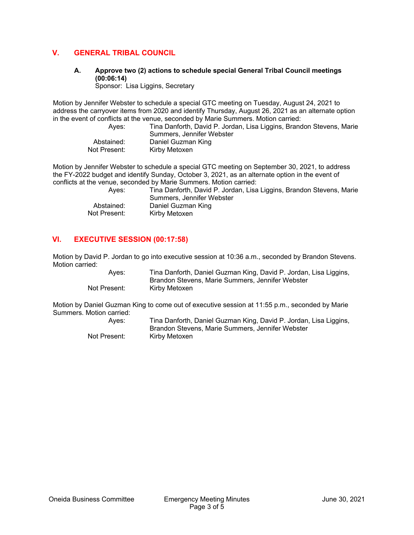## **V. GENERAL TRIBAL COUNCIL**

## **A. Approve two (2) actions to schedule special General Tribal Council meetings (00:06:14)**

Sponsor: Lisa Liggins, Secretary

Motion by Jennifer Webster to schedule a special GTC meeting on Tuesday, August 24, 2021 to address the carryover items from 2020 and identify Thursday, August 26, 2021 as an alternate option in the event of conflicts at the venue, seconded by Marie Summers. Motion carried:

Ayes: Tina Danforth, David P. Jordan, Lisa Liggins, Brandon Stevens, Marie Summers, Jennifer Webster Abstained: Daniel Guzman King Not Present: Kirby Metoxen

Motion by Jennifer Webster to schedule a special GTC meeting on September 30, 2021, to address the FY-2022 budget and identify Sunday, October 3, 2021, as an alternate option in the event of conflicts at the venue, seconded by Marie Summers. Motion carried:

| Aves:        | Tina Danforth, David P. Jordan, Lisa Liggins, Brandon Stevens, Marie<br>Summers, Jennifer Webster |
|--------------|---------------------------------------------------------------------------------------------------|
| Abstained:   | Daniel Guzman King                                                                                |
| Not Present: | Kirby Metoxen                                                                                     |

## **VI. EXECUTIVE SESSION (00:17:58)**

Motion by David P. Jordan to go into executive session at 10:36 a.m., seconded by Brandon Stevens. Motion carried:

 Ayes: Tina Danforth, Daniel Guzman King, David P. Jordan, Lisa Liggins, Brandon Stevens, Marie Summers, Jennifer Webster Not Present: Kirby Metoxen

Motion by Daniel Guzman King to come out of executive session at 11:55 p.m., seconded by Marie Summers. Motion carried:

| Ayes:        | Tina Danforth, Daniel Guzman King, David P. Jordan, Lisa Liggins, |
|--------------|-------------------------------------------------------------------|
|              | Brandon Stevens, Marie Summers, Jennifer Webster                  |
| Not Present: | Kirby Metoxen                                                     |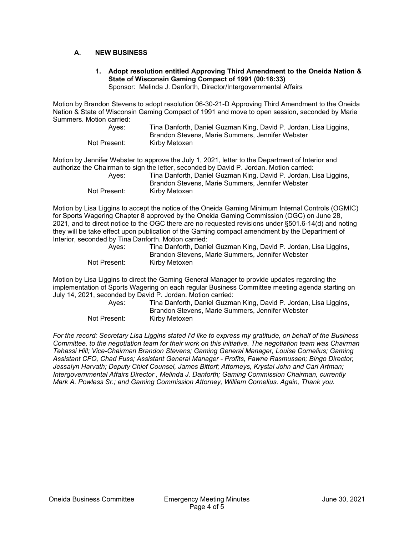#### **A. NEW BUSINESS**

## **1. Adopt resolution entitled Approving Third Amendment to the Oneida Nation & State of Wisconsin Gaming Compact of 1991 (00:18:33)**

Sponsor: Melinda J. Danforth, Director/Intergovernmental Affairs

Motion by Brandon Stevens to adopt resolution 06-30-21-D Approving Third Amendment to the Oneida Nation & State of Wisconsin Gaming Compact of 1991 and move to open session, seconded by Marie Summers. Motion carried:

| Ayes:        | Tina Danforth, Daniel Guzman King, David P. Jordan, Lisa Liggins, |
|--------------|-------------------------------------------------------------------|
|              | Brandon Stevens, Marie Summers, Jennifer Webster                  |
| Not Present: | Kirbv Metoxen                                                     |

Motion by Jennifer Webster to approve the July 1, 2021, letter to the Department of Interior and authorize the Chairman to sign the letter, seconded by David P. Jordan. Motion carried:

| Aves:        | Tina Danforth, Daniel Guzman King, David P. Jordan, Lisa Liggins, |
|--------------|-------------------------------------------------------------------|
|              | Brandon Stevens, Marie Summers, Jennifer Webster                  |
| Not Present: | Kirby Metoxen                                                     |

Motion by Lisa Liggins to accept the notice of the Oneida Gaming Minimum Internal Controls (OGMIC) for Sports Wagering Chapter 8 approved by the Oneida Gaming Commission (OGC) on June 28, 2021, and to direct notice to the OGC there are no requested revisions under §501.6-14(d) and noting they will be take effect upon publication of the Gaming compact amendment by the Department of Interior, seconded by Tina Danforth. Motion carried:

| Ayes:        | Tina Danforth, Daniel Guzman King, David P. Jordan, Lisa Liggins, |
|--------------|-------------------------------------------------------------------|
|              | Brandon Stevens, Marie Summers, Jennifer Webster                  |
| Not Present: | Kirby Metoxen                                                     |

Motion by Lisa Liggins to direct the Gaming General Manager to provide updates regarding the implementation of Sports Wagering on each regular Business Committee meeting agenda starting on July 14, 2021, seconded by David P. Jordan. Motion carried:

| Aves:        | Tina Danforth, Daniel Guzman King, David P. Jordan, Lisa Liggins,<br>Brandon Stevens, Marie Summers, Jennifer Webster |
|--------------|-----------------------------------------------------------------------------------------------------------------------|
| Not Present: | Kirby Metoxen                                                                                                         |

*For the record: Secretary Lisa Liggins stated I'd like to express my gratitude, on behalf of the Business Committee, to the negotiation team for their work on this initiative. The negotiation team was Chairman Tehassi Hill; Vice-Chairman Brandon Stevens; Gaming General Manager, Louise Cornelius; Gaming Assistant CFO, Chad Fuss; Assistant General Manager - Profits, Fawne Rasmussen; Bingo Director, Jessalyn Harvath; Deputy Chief Counsel, James Bittorf; Attorneys, Krystal John and Carl Artman; Intergovernmental Affairs Director , Melinda J. Danforth; Gaming Commission Chairman, currently Mark A. Powless Sr.; and Gaming Commission Attorney, William Cornelius. Again, Thank you.*